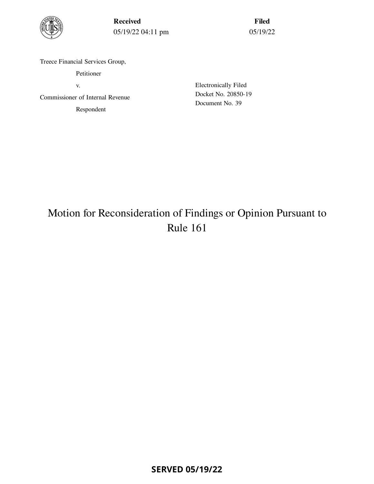

Received 05/19/22 04:11 pm

Filed 05/19/22

Treece Financial Services Group,

Petitioner

v.

Commissioner of Internal Revenue Respondent

Electronically Filed Docket No. 20850-19 Document No. 39

# Motion for Reconsideration of Findings or Opinion Pursuant to Rule 161

**SERVED 05/19/22**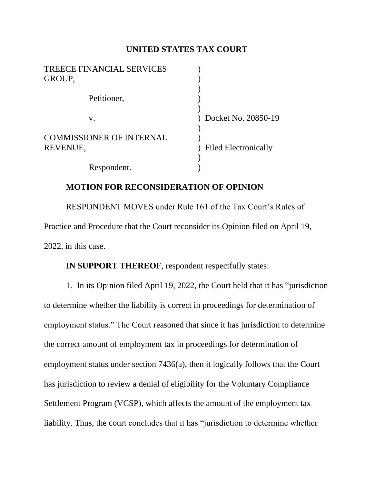## **UNITED STATES TAX COURT**

| <b>TREECE FINANCIAL SERVICES</b><br>GROUP,  |                             |
|---------------------------------------------|-----------------------------|
| Petitioner,                                 |                             |
| V.                                          | Docket No. 20850-19         |
| <b>COMMISSIONER OF INTERNAL</b><br>REVENUE, | <b>Filed Electronically</b> |
| Respondent.                                 |                             |

## **MOTION FOR RECONSIDERATION OF OPINION**

RESPONDENT MOVES under Rule 161 of the Tax Court's Rules of Practice and Procedure that the Court reconsider its Opinion filed on April 19, 2022, in this case.

**IN SUPPORT THEREOF**, respondent respectfully states:

1. In its Opinion filed April 19, 2022, the Court held that it has "jurisdiction to determine whether the liability is correct in proceedings for determination of employment status." The Court reasoned that since it has jurisdiction to determine the correct amount of employment tax in proceedings for determination of employment status under section 7436(a), then it logically follows that the Court has jurisdiction to review a denial of eligibility for the Voluntary Compliance Settlement Program (VCSP), which affects the amount of the employment tax liability. Thus, the court concludes that it has "jurisdiction to determine whether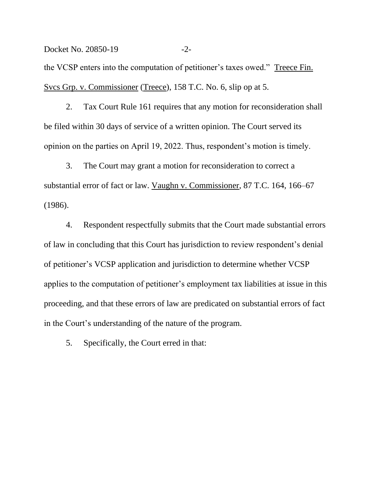Docket No. 20850-19 -2the VCSP enters into the computation of petitioner's taxes owed." Treece Fin. Svcs Grp. v. Commissioner (Treece), 158 T.C. No. 6, slip op at 5.

2. Tax Court Rule 161 requires that any motion for reconsideration shall be filed within 30 days of service of a written opinion. The Court served its opinion on the parties on April 19, 2022. Thus, respondent's motion is timely.

3. The Court may grant a motion for reconsideration to correct a substantial error of fact or law. Vaughn v. Commissioner, 87 T.C. 164, 166–67 (1986).

4. Respondent respectfully submits that the Court made substantial errors of law in concluding that this Court has jurisdiction to review respondent's denial of petitioner's VCSP application and jurisdiction to determine whether VCSP applies to the computation of petitioner's employment tax liabilities at issue in this proceeding, and that these errors of law are predicated on substantial errors of fact in the Court's understanding of the nature of the program.

5. Specifically, the Court erred in that: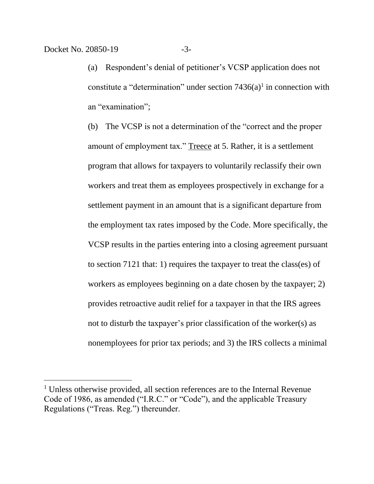(a) Respondent's denial of petitioner's VCSP application does not constitute a "determination" under section  $7436(a)$ <sup>1</sup> in connection with an "examination";

(b) The VCSP is not a determination of the "correct and the proper amount of employment tax." Treece at 5. Rather, it is a settlement program that allows for taxpayers to voluntarily reclassify their own workers and treat them as employees prospectively in exchange for a settlement payment in an amount that is a significant departure from the employment tax rates imposed by the Code. More specifically, the VCSP results in the parties entering into a closing agreement pursuant to section 7121 that: 1) requires the taxpayer to treat the class(es) of workers as employees beginning on a date chosen by the taxpayer; 2) provides retroactive audit relief for a taxpayer in that the IRS agrees not to disturb the taxpayer's prior classification of the worker(s) as nonemployees for prior tax periods; and 3) the IRS collects a minimal

<sup>&</sup>lt;sup>1</sup> Unless otherwise provided, all section references are to the Internal Revenue Code of 1986, as amended ("I.R.C." or "Code"), and the applicable Treasury Regulations ("Treas. Reg.") thereunder.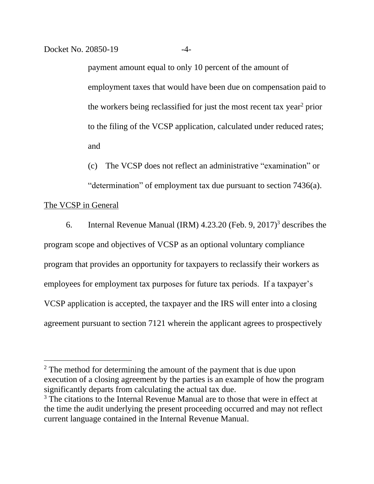payment amount equal to only 10 percent of the amount of employment taxes that would have been due on compensation paid to the workers being reclassified for just the most recent tax year<sup>2</sup> prior to the filing of the VCSP application, calculated under reduced rates; and

(c) The VCSP does not reflect an administrative "examination" or

"determination" of employment tax due pursuant to section 7436(a).

## The VCSP in General

6. Internal Revenue Manual (IRM) 4.23.20 (Feb. 9, 2017)<sup>3</sup> describes the program scope and objectives of VCSP as an optional voluntary compliance program that provides an opportunity for taxpayers to reclassify their workers as employees for employment tax purposes for future tax periods. If a taxpayer's VCSP application is accepted, the taxpayer and the IRS will enter into a closing agreement pursuant to section 7121 wherein the applicant agrees to prospectively

<sup>&</sup>lt;sup>2</sup> The method for determining the amount of the payment that is due upon execution of a closing agreement by the parties is an example of how the program significantly departs from calculating the actual tax due.

<sup>&</sup>lt;sup>3</sup> The citations to the Internal Revenue Manual are to those that were in effect at the time the audit underlying the present proceeding occurred and may not reflect current language contained in the Internal Revenue Manual.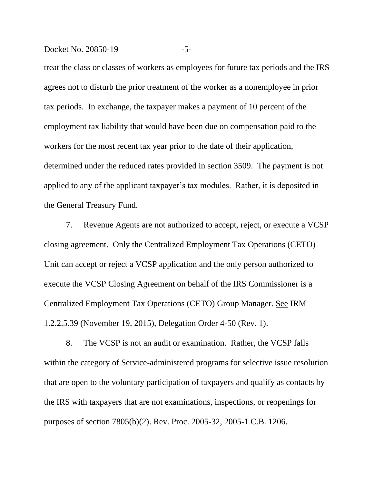#### Docket No. 20850-19 -5-

treat the class or classes of workers as employees for future tax periods and the IRS agrees not to disturb the prior treatment of the worker as a nonemployee in prior tax periods. In exchange, the taxpayer makes a payment of 10 percent of the employment tax liability that would have been due on compensation paid to the workers for the most recent tax year prior to the date of their application, determined under the reduced rates provided in section 3509. The payment is not applied to any of the applicant taxpayer's tax modules. Rather, it is deposited in the General Treasury Fund.

7. Revenue Agents are not authorized to accept, reject, or execute a VCSP closing agreement. Only the Centralized Employment Tax Operations (CETO) Unit can accept or reject a VCSP application and the only person authorized to execute the VCSP Closing Agreement on behalf of the IRS Commissioner is a Centralized Employment Tax Operations (CETO) Group Manager. See IRM 1.2.2.5.39 (November 19, 2015), Delegation Order 4-50 (Rev. 1).

8. The VCSP is not an audit or examination. Rather, the VCSP falls within the category of Service-administered programs for selective issue resolution that are open to the voluntary participation of taxpayers and qualify as contacts by the IRS with taxpayers that are not examinations, inspections, or reopenings for purposes of section 7805(b)(2). Rev. Proc. 2005-32, 2005-1 C.B. 1206.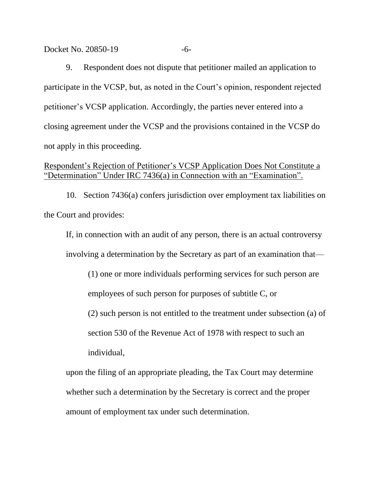#### Docket No. 20850-19 -6-

9. Respondent does not dispute that petitioner mailed an application to participate in the VCSP, but, as noted in the Court's opinion, respondent rejected petitioner's VCSP application. Accordingly, the parties never entered into a closing agreement under the VCSP and the provisions contained in the VCSP do not apply in this proceeding.

## Respondent's Rejection of Petitioner's VCSP Application Does Not Constitute a "Determination" Under IRC 7436(a) in Connection with an "Examination".

10. Section 7436(a) confers jurisdiction over employment tax liabilities on the Court and provides:

If, in connection with an audit of any person, there is an actual controversy involving a determination by the Secretary as part of an examination that—

(1) one or more individuals performing services for such person are employees of such person for purposes of subtitle C, or

(2) such person is not entitled to the treatment under subsection (a) of

section 530 of the Revenue Act of 1978 with respect to such an individual,

upon the filing of an appropriate pleading, the Tax Court may determine whether such a determination by the Secretary is correct and the proper amount of employment tax under such determination.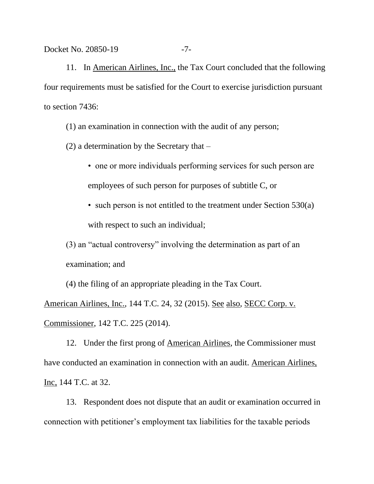Docket No. 20850-19 -7-

11. In American Airlines, Inc., the Tax Court concluded that the following four requirements must be satisfied for the Court to exercise jurisdiction pursuant to section 7436:

(1) an examination in connection with the audit of any person;

(2) a determination by the Secretary that –

• one or more individuals performing services for such person are employees of such person for purposes of subtitle C, or

• such person is not entitled to the treatment under Section 530(a) with respect to such an individual;

(3) an "actual controversy" involving the determination as part of an examination; and

(4) the filing of an appropriate pleading in the Tax Court. American Airlines, Inc., 144 T.C. 24, 32 (2015). See also, SECC Corp. v. Commissioner, 142 T.C. 225 (2014).

12. Under the first prong of American Airlines, the Commissioner must have conducted an examination in connection with an audit. American Airlines, Inc, 144 T.C. at 32.

13. Respondent does not dispute that an audit or examination occurred in connection with petitioner's employment tax liabilities for the taxable periods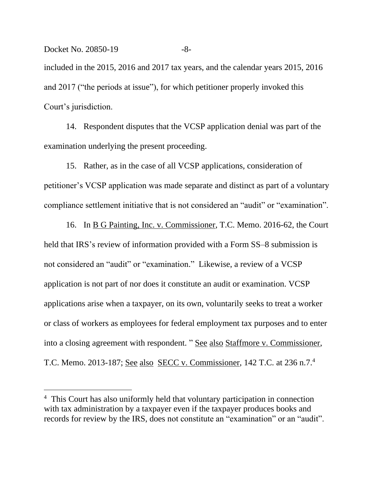included in the 2015, 2016 and 2017 tax years, and the calendar years 2015, 2016 and 2017 ("the periods at issue"), for which petitioner properly invoked this Court's jurisdiction.

14. Respondent disputes that the VCSP application denial was part of the examination underlying the present proceeding.

15. Rather, as in the case of all VCSP applications, consideration of petitioner's VCSP application was made separate and distinct as part of a voluntary compliance settlement initiative that is not considered an "audit" or "examination".

16. In B G Painting, Inc. v. Commissioner, T.C. Memo. 2016-62, the Court held that IRS's review of information provided with a Form SS–8 submission is not considered an "audit" or "examination." Likewise, a review of a VCSP application is not part of nor does it constitute an audit or examination. VCSP applications arise when a taxpayer, on its own, voluntarily seeks to treat a worker or class of workers as employees for federal employment tax purposes and to enter into a closing agreement with respondent. " See also Staffmore v. Commissioner, T.C. Memo. 2013-187; See also SECC v. Commissioner, 142 T.C. at 236 n.7.<sup>4</sup>

<sup>&</sup>lt;sup>4</sup> This Court has also uniformly held that voluntary participation in connection with tax administration by a taxpayer even if the taxpayer produces books and records for review by the IRS, does not constitute an "examination" or an "audit".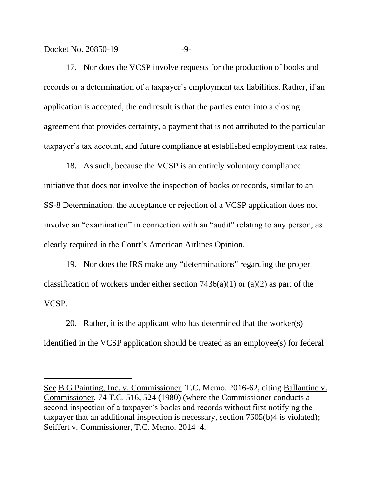Docket No. 20850-19 -9-

17. Nor does the VCSP involve requests for the production of books and records or a determination of a taxpayer's employment tax liabilities. Rather, if an application is accepted, the end result is that the parties enter into a closing agreement that provides certainty, a payment that is not attributed to the particular taxpayer's tax account, and future compliance at established employment tax rates.

18. As such, because the VCSP is an entirely voluntary compliance initiative that does not involve the inspection of books or records, similar to an SS-8 Determination, the acceptance or rejection of a VCSP application does not involve an "examination" in connection with an "audit" relating to any person, as clearly required in the Court's American Airlines Opinion.

19. Nor does the IRS make any "determinations" regarding the proper classification of workers under either section  $7436(a)(1)$  or  $(a)(2)$  as part of the VCSP.

20. Rather, it is the applicant who has determined that the worker(s) identified in the VCSP application should be treated as an employee(s) for federal

See B G Painting, Inc. v. Commissioner, T.C. Memo. 2016-62, citing Ballantine v. Commissioner, 74 T.C. 516, 524 (1980) (where the Commissioner conducts a second inspection of a taxpayer's books and records without first notifying the taxpayer that an additional inspection is necessary, section 7605(b)4 is violated); Seiffert v. Commissioner, T.C. Memo. 2014–4.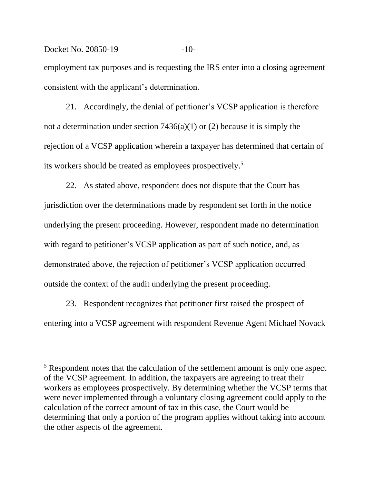Docket No. 20850-19 -10employment tax purposes and is requesting the IRS enter into a closing agreement consistent with the applicant's determination.

21. Accordingly, the denial of petitioner's VCSP application is therefore not a determination under section 7436(a)(1) or (2) because it is simply the rejection of a VCSP application wherein a taxpayer has determined that certain of its workers should be treated as employees prospectively. 5

22. As stated above, respondent does not dispute that the Court has jurisdiction over the determinations made by respondent set forth in the notice underlying the present proceeding. However, respondent made no determination with regard to petitioner's VCSP application as part of such notice, and, as demonstrated above, the rejection of petitioner's VCSP application occurred outside the context of the audit underlying the present proceeding.

23. Respondent recognizes that petitioner first raised the prospect of entering into a VCSP agreement with respondent Revenue Agent Michael Novack

<sup>5</sup> Respondent notes that the calculation of the settlement amount is only one aspect of the VCSP agreement. In addition, the taxpayers are agreeing to treat their workers as employees prospectively. By determining whether the VCSP terms that were never implemented through a voluntary closing agreement could apply to the calculation of the correct amount of tax in this case, the Court would be determining that only a portion of the program applies without taking into account the other aspects of the agreement.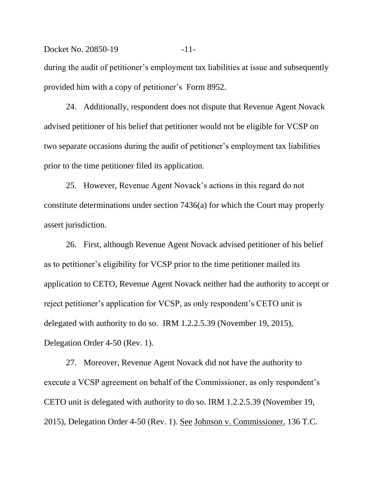Docket No. 20850-19 -11during the audit of petitioner's employment tax liabilities at issue and subsequently provided him with a copy of petitioner's Form 8952.

24. Additionally, respondent does not dispute that Revenue Agent Novack advised petitioner of his belief that petitioner would not be eligible for VCSP on two separate occasions during the audit of petitioner's employment tax liabilities prior to the time petitioner filed its application.

25. However, Revenue Agent Novack's actions in this regard do not constitute determinations under section 7436(a) for which the Court may properly assert jurisdiction.

26. First, although Revenue Agent Novack advised petitioner of his belief as to petitioner's eligibility for VCSP prior to the time petitioner mailed its application to CETO, Revenue Agent Novack neither had the authority to accept or reject petitioner's application for VCSP, as only respondent's CETO unit is delegated with authority to do so. IRM 1.2.2.5.39 (November 19, 2015), Delegation Order 4-50 (Rev. 1).

27. Moreover, Revenue Agent Novack did not have the authority to execute a VCSP agreement on behalf of the Commissioner, as only respondent's CETO unit is delegated with authority to do so. IRM 1.2.2.5.39 (November 19, 2015), Delegation Order 4-50 (Rev. 1). See Johnson v. Commissioner, 136 T.C.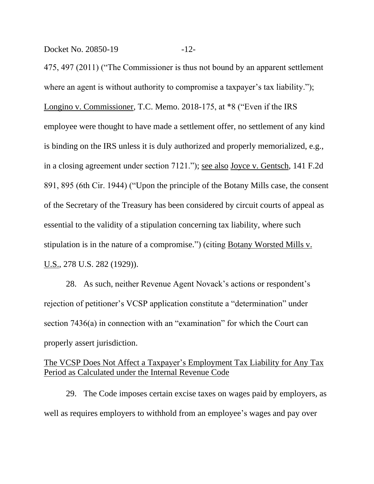Docket No. 20850-19 -12-

475, 497 (2011) ("The Commissioner is thus not bound by an apparent settlement where an agent is without authority to compromise a taxpayer's tax liability."); Longino v. Commissioner, T.C. Memo. 2018-175, at \*8 ("Even if the IRS employee were thought to have made a settlement offer, no settlement of any kind is binding on the IRS unless it is duly authorized and properly memorialized, e.g., in a closing agreement under section 7121."); see also Joyce v. Gentsch, 141 F.2d 891, 895 (6th Cir. 1944) ("Upon the principle of the Botany Mills case, the consent of the Secretary of the Treasury has been considered by circuit courts of appeal as essential to the validity of a stipulation concerning tax liability, where such stipulation is in the nature of a compromise.") (citing Botany Worsted Mills v. U.S., 278 U.S. 282 (1929)).

28. As such, neither Revenue Agent Novack's actions or respondent's rejection of petitioner's VCSP application constitute a "determination" under section 7436(a) in connection with an "examination" for which the Court can properly assert jurisdiction.

# The VCSP Does Not Affect a Taxpayer's Employment Tax Liability for Any Tax Period as Calculated under the Internal Revenue Code

29. The Code imposes certain excise taxes on wages paid by employers, as well as requires employers to withhold from an employee's wages and pay over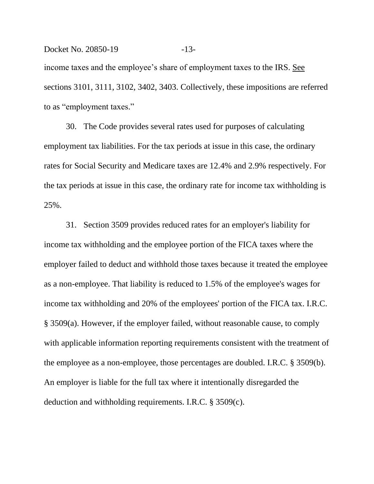income taxes and the employee's share of employment taxes to the IRS. See sections 3101, 3111, 3102, 3402, 3403. Collectively, these impositions are referred to as "employment taxes."

Docket No. 20850-19 -13-

30. The Code provides several rates used for purposes of calculating employment tax liabilities. For the tax periods at issue in this case, the ordinary rates for Social Security and Medicare taxes are 12.4% and 2.9% respectively. For the tax periods at issue in this case, the ordinary rate for income tax withholding is 25%.

31. Section 3509 provides reduced rates for an employer's liability for income tax withholding and the employee portion of the FICA taxes where the employer failed to deduct and withhold those taxes because it treated the employee as a non-employee. That liability is reduced to 1.5% of the employee's wages for income tax withholding and 20% of the employees' portion of the FICA tax. I.R.C. § 3509(a). However, if the employer failed, without reasonable cause, to comply with applicable information reporting requirements consistent with the treatment of the employee as a non-employee, those percentages are doubled. I.R.C. § 3509(b). An employer is liable for the full tax where it intentionally disregarded the deduction and withholding requirements. I.R.C. § 3509(c).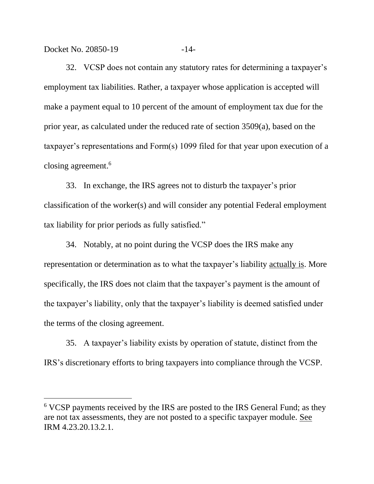Docket No. 20850-19 -14-

32. VCSP does not contain any statutory rates for determining a taxpayer's employment tax liabilities. Rather, a taxpayer whose application is accepted will make a payment equal to 10 percent of the amount of employment tax due for the prior year, as calculated under the reduced rate of section 3509(a), based on the taxpayer's representations and Form(s) 1099 filed for that year upon execution of a closing agreement. 6

33. In exchange, the IRS agrees not to disturb the taxpayer's prior classification of the worker(s) and will consider any potential Federal employment tax liability for prior periods as fully satisfied."

34. Notably, at no point during the VCSP does the IRS make any representation or determination as to what the taxpayer's liability actually is. More specifically, the IRS does not claim that the taxpayer's payment is the amount of the taxpayer's liability, only that the taxpayer's liability is deemed satisfied under the terms of the closing agreement.

35. A taxpayer's liability exists by operation of statute, distinct from the IRS's discretionary efforts to bring taxpayers into compliance through the VCSP.

<sup>6</sup> VCSP payments received by the IRS are posted to the IRS General Fund; as they are not tax assessments, they are not posted to a specific taxpayer module. See IRM 4.23.20.13.2.1.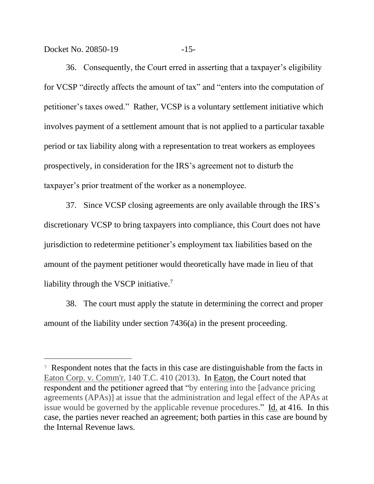Docket No. 20850-19 -15-

36. Consequently, the Court erred in asserting that a taxpayer's eligibility for VCSP "directly affects the amount of tax" and "enters into the computation of petitioner's taxes owed." Rather, VCSP is a voluntary settlement initiative which involves payment of a settlement amount that is not applied to a particular taxable period or tax liability along with a representation to treat workers as employees prospectively, in consideration for the IRS's agreement not to disturb the taxpayer's prior treatment of the worker as a nonemployee.

37. Since VCSP closing agreements are only available through the IRS's discretionary VCSP to bring taxpayers into compliance, this Court does not have jurisdiction to redetermine petitioner's employment tax liabilities based on the amount of the payment petitioner would theoretically have made in lieu of that liability through the VSCP initiative.<sup>7</sup>

38. The court must apply the statute in determining the correct and proper amount of the liability under section 7436(a) in the present proceeding.

<sup>7</sup> Respondent notes that the facts in this case are distinguishable from the facts in Eaton Corp. v. Comm'r, 140 T.C. 410 (2013). In Eaton, the Court noted that respondent and the petitioner agreed that "by entering into the [advance pricing agreements (APAs)] at issue that the administration and legal effect of the APAs at issue would be governed by the applicable revenue procedures." Id. at 416. In this case, the parties never reached an agreement; both parties in this case are bound by the Internal Revenue laws.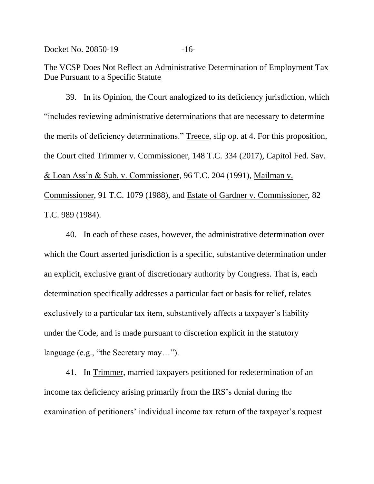# The VCSP Does Not Reflect an Administrative Determination of Employment Tax Due Pursuant to a Specific Statute

39. In its Opinion, the Court analogized to its deficiency jurisdiction, which "includes reviewing administrative determinations that are necessary to determine the merits of deficiency determinations." Treece, slip op. at 4. For this proposition, the Court cited Trimmer v. Commissioner, 148 T.C. 334 (2017), Capitol Fed. Sav. & Loan Ass'n & Sub. v. Commissioner, 96 T.C. 204 (1991), Mailman v. Commissioner, 91 T.C. 1079 (1988), and Estate of Gardner v. Commissioner, 82 T.C. 989 (1984).

40. In each of these cases, however, the administrative determination over which the Court asserted jurisdiction is a specific, substantive determination under an explicit, exclusive grant of discretionary authority by Congress. That is, each determination specifically addresses a particular fact or basis for relief, relates exclusively to a particular tax item, substantively affects a taxpayer's liability under the Code, and is made pursuant to discretion explicit in the statutory language (e.g., "the Secretary may…").

41. In Trimmer, married taxpayers petitioned for redetermination of an income tax deficiency arising primarily from the IRS's denial during the examination of petitioners' individual income tax return of the taxpayer's request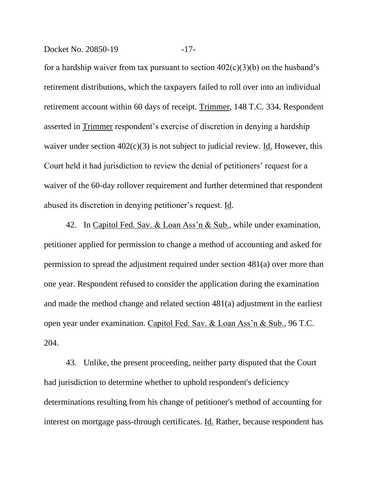Docket No. 20850-19 -17-

for a hardship waiver from tax pursuant to section  $402(c)(3)(b)$  on the husband's retirement distributions, which the taxpayers failed to roll over into an individual retirement account within 60 days of receipt. Trimmer, 148 T.C. 334. Respondent asserted in Trimmer respondent's exercise of discretion in denying a hardship waiver under section  $402(c)(3)$  is not subject to judicial review. Id. However, this Court held it had jurisdiction to review the denial of petitioners' request for a waiver of the 60-day rollover requirement and further determined that respondent abused its discretion in denying petitioner's request. Id.

42. In Capitol Fed. Sav. & Loan Ass'n & Sub., while under examination, petitioner applied for permission to change a method of accounting and asked for permission to spread the adjustment required under section 481(a) over more than one year. Respondent refused to consider the application during the examination and made the method change and related section 481(a) adjustment in the earliest open year under examination. Capitol Fed. Sav. & Loan Ass'n & Sub., 96 T.C. 204.

43. Unlike, the present proceeding, neither party disputed that the Court had jurisdiction to determine whether to uphold respondent's deficiency determinations resulting from his change of petitioner's method of accounting for interest on mortgage pass-through certificates. Id. Rather, because respondent has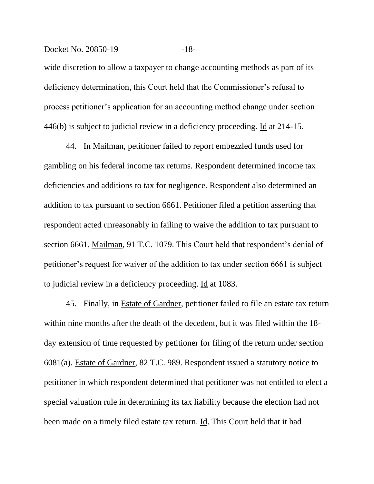#### Docket No. 20850-19 -18-

wide discretion to allow a taxpayer to change accounting methods as part of its deficiency determination, this Court held that the Commissioner's refusal to process petitioner's application for an accounting method change under section 446(b) is subject to judicial review in a deficiency proceeding. Id at 214-15.

44. In Mailman, petitioner failed to report embezzled funds used for gambling on his federal income tax returns. Respondent determined income tax deficiencies and additions to tax for negligence. Respondent also determined an addition to tax pursuant to section 6661. Petitioner filed a petition asserting that respondent acted unreasonably in failing to waive the addition to tax pursuant to section 6661. Mailman, 91 T.C. 1079. This Court held that respondent's denial of petitioner's request for waiver of the addition to tax under section 6661 is subject to judicial review in a deficiency proceeding. Id at 1083.

45. Finally, in Estate of Gardner, petitioner failed to file an estate tax return within nine months after the death of the decedent, but it was filed within the 18 day extension of time requested by petitioner for filing of the return under section 6081(a). Estate of Gardner, 82 T.C. 989. Respondent issued a statutory notice to petitioner in which respondent determined that petitioner was not entitled to elect a special valuation rule in determining its tax liability because the election had not been made on a timely filed estate tax return. Id. This Court held that it had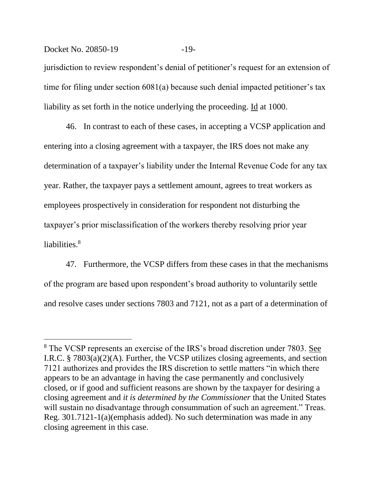### Docket No. 20850-19 -19

jurisdiction to review respondent's denial of petitioner's request for an extension of time for filing under section 6081(a) because such denial impacted petitioner's tax liability as set forth in the notice underlying the proceeding. Id at 1000.

46. In contrast to each of these cases, in accepting a VCSP application and entering into a closing agreement with a taxpayer, the IRS does not make any determination of a taxpayer's liability under the Internal Revenue Code for any tax year. Rather, the taxpayer pays a settlement amount, agrees to treat workers as employees prospectively in consideration for respondent not disturbing the taxpayer's prior misclassification of the workers thereby resolving prior year liabilities. 8

47. Furthermore, the VCSP differs from these cases in that the mechanisms of the program are based upon respondent's broad authority to voluntarily settle and resolve cases under sections 7803 and 7121, not as a part of a determination of

<sup>8</sup> The VCSP represents an exercise of the IRS's broad discretion under 7803. See I.R.C. § 7803(a)(2)(A). Further, the VCSP utilizes closing agreements, and section 7121 authorizes and provides the IRS discretion to settle matters "in which there appears to be an advantage in having the case permanently and conclusively closed, or if good and sufficient reasons are shown by the taxpayer for desiring a closing agreement and *it is determined by the Commissioner* that the United States will sustain no disadvantage through consummation of such an agreement." Treas. Reg. 301.7121-1(a)(emphasis added). No such determination was made in any closing agreement in this case.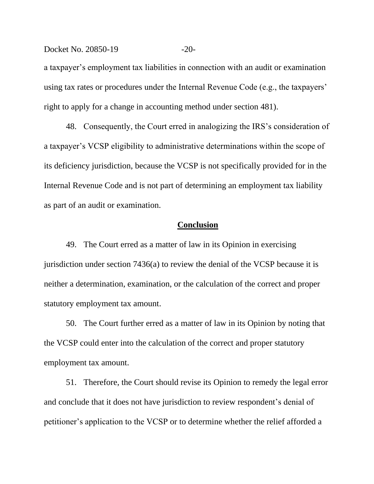a taxpayer's employment tax liabilities in connection with an audit or examination using tax rates or procedures under the Internal Revenue Code (e.g., the taxpayers' right to apply for a change in accounting method under section 481).

48. Consequently, the Court erred in analogizing the IRS's consideration of a taxpayer's VCSP eligibility to administrative determinations within the scope of its deficiency jurisdiction, because the VCSP is not specifically provided for in the Internal Revenue Code and is not part of determining an employment tax liability as part of an audit or examination.

#### **Conclusion**

49. The Court erred as a matter of law in its Opinion in exercising jurisdiction under section 7436(a) to review the denial of the VCSP because it is neither a determination, examination, or the calculation of the correct and proper statutory employment tax amount.

50. The Court further erred as a matter of law in its Opinion by noting that the VCSP could enter into the calculation of the correct and proper statutory employment tax amount.

51. Therefore, the Court should revise its Opinion to remedy the legal error and conclude that it does not have jurisdiction to review respondent's denial of petitioner's application to the VCSP or to determine whether the relief afforded a

Docket No. 20850-19 -20-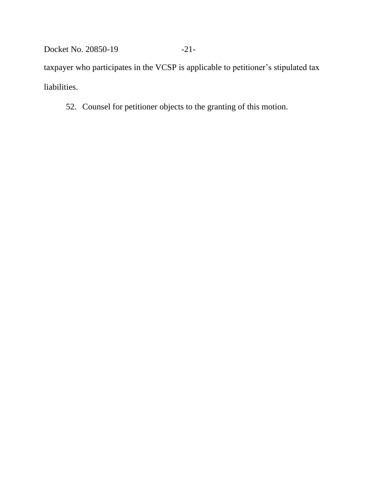Docket No. 20850-19 -21-

taxpayer who participates in the VCSP is applicable to petitioner's stipulated tax liabilities.

52. Counsel for petitioner objects to the granting of this motion.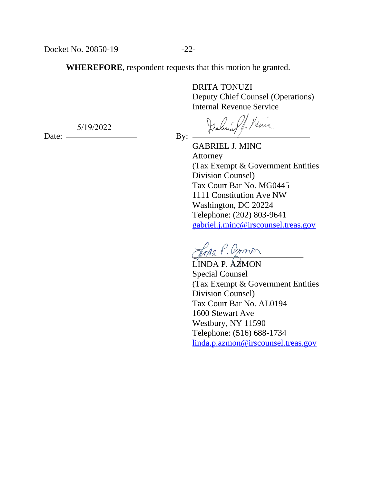5/19/2022

**WHEREFORE**, respondent requests that this motion be granted.

DRITA TONUZI Deputy Chief Counsel (Operations) Internal Revenue Service

Jalin St. Kinis

GABRIEL J. MINC Attorney (Tax Exempt & Government Entities Division Counsel) Tax Court Bar No. MG0445 1111 Constitution Ave NW Washington, DC 20224 Telephone: (202) 803-9641 [gabriel.j.minc@irscounsel.treas.gov](mailto:gabriel.j.minc@irscounsel.treas.gov)

Jona P. Amor

LINDA P. AZMON Special Counsel (Tax Exempt & Government Entities Division Counsel) Tax Court Bar No. AL0194 1600 Stewart Ave Westbury, NY 11590 Telephone: (516) 688-1734 [linda.p.azmon@irscounsel.treas.gov](mailto:linda.p.azmon@irscounsel.treas.gov)

Date: By: